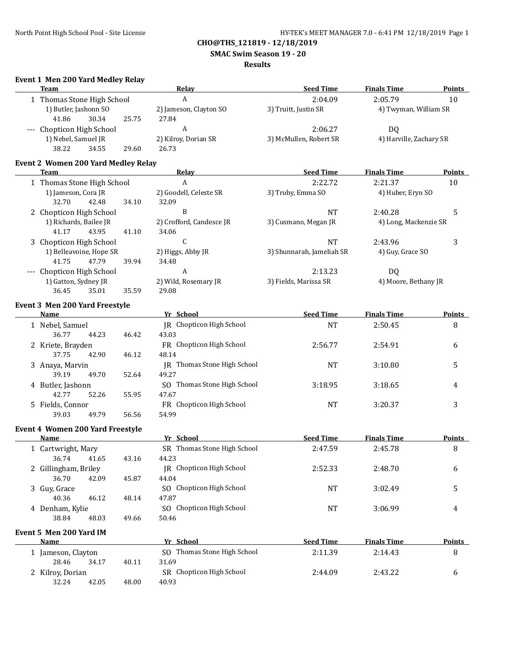**SMAC Swim Season 19 - 20**

## **Results**

# **Event 1 Men 200 Yard Medley Relay**

| Event I men zou faru meuley Relay<br><b>Team</b> | Relay                           | <b>Seed Time</b>          | <b>Finals Time</b>      | <b>Points</b> |
|--------------------------------------------------|---------------------------------|---------------------------|-------------------------|---------------|
| 1 Thomas Stone High School                       | $\boldsymbol{A}$                | 2:04.09                   | 2:05.79                 | 10            |
| 1) Butler, Jashonn SO                            | 2) Jameson, Clayton SO          | 3) Truitt, Justin SR      | 4) Twyman, William SR   |               |
| 41.86<br>30.34<br>25.75                          | 27.84                           |                           |                         |               |
| --- Chopticon High School                        | A                               | 2:06.27                   | DQ                      |               |
| 1) Nebel, Samuel JR                              | 2) Kilroy, Dorian SR            | 3) McMullen, Robert SR    | 4) Harville, Zachary SR |               |
| 38.22<br>34.55<br>29.60                          | 26.73                           |                           |                         |               |
|                                                  |                                 |                           |                         |               |
| <b>Event 2 Women 200 Yard Medley Relay</b>       |                                 |                           |                         |               |
| Team                                             | <b>Relay</b>                    | <b>Seed Time</b>          | <b>Finals Time</b>      | <b>Points</b> |
| 1 Thomas Stone High School                       | A                               | 2:22.72                   | 2:21.37                 | 10            |
| 1) Jameson, Cora JR                              | 2) Goodell, Celeste SR          | 3) Truby, Emma SO         | 4) Huber, Eryn SO       |               |
| 32.70<br>34.10<br>42.48                          | 32.09                           |                           |                         |               |
| 2 Chopticon High School                          | B                               | <b>NT</b>                 | 2:40.28                 | 5             |
| 1) Richards, Bailee JR                           | 2) Crofford, Candesce JR        | 3) Cusmano, Megan JR      | 4) Long, Mackenzie SR   |               |
| 41.17<br>43.95<br>41.10                          | 34.06                           |                           |                         |               |
| 3 Chopticon High School                          | $\mathsf C$                     | <b>NT</b>                 | 2:43.96                 | 3             |
| 1) Belleavoine, Hope SR                          | 2) Higgs, Abby JR               | 3) Shunnarah, Jameliah SR | 4) Guy, Grace SO        |               |
| 41.75<br>47.79<br>39.94                          | 34.48                           |                           |                         |               |
| --- Chopticon High School                        | $\boldsymbol{A}$                | 2:13.23                   | DQ                      |               |
| 1) Gatton, Sydney JR                             | 2) Wild, Rosemary JR            | 3) Fields, Marissa SR     | 4) Moore, Bethany JR    |               |
| 36.45<br>35.01<br>35.59                          | 29.08                           |                           |                         |               |
| <b>Event 3 Men 200 Yard Freestyle</b>            |                                 |                           |                         |               |
| Name                                             | Yr School                       | <b>Seed Time</b>          | <b>Finals Time</b>      | <b>Points</b> |
| 1 Nebel, Samuel                                  | <b>IR</b> Chopticon High School | <b>NT</b>                 | 2:50.45                 | 8             |
| 36.77<br>44.23<br>46.42                          | 43.03                           |                           |                         |               |
| 2 Kriete, Brayden                                | FR Chopticon High School        | 2:56.77                   | 2:54.91                 | 6             |
| 37.75<br>42.90<br>46.12                          | 48.14                           |                           |                         |               |
| 3 Anaya, Marvin                                  | JR Thomas Stone High School     | <b>NT</b>                 | 3:10.80                 | 5             |
| 39.19<br>49.70<br>52.64                          | 49.27                           |                           |                         |               |
| 4 Butler, Jashonn                                | SO Thomas Stone High School     | 3:18.95                   | 3:18.65                 | 4             |
| 42.77<br>52.26<br>55.95                          | 47.67                           |                           |                         |               |
|                                                  | FR Chopticon High School        |                           |                         |               |
| 5 Fields, Connor<br>39.03<br>49.79<br>56.56      | 54.99                           | <b>NT</b>                 | 3:20.37                 | 3             |
|                                                  |                                 |                           |                         |               |
| <b>Event 4 Women 200 Yard Freestyle</b>          |                                 |                           |                         |               |
| Name                                             | Yr School                       | <b>Seed Time</b>          | <b>Finals Time</b>      | <b>Points</b> |
| 1 Cartwright, Mary                               | SR Thomas Stone High School     | 2:47.59                   | 2:45.78                 | 8             |
| 36.74 41.65 43.16                                | 44.23                           |                           |                         |               |
| 2 Gillingham, Briley                             | <b>JR</b> Chopticon High School | 2:52.33                   | 2:48.70                 | 6             |
| 36.70<br>42.09<br>45.87                          | 44.04                           |                           |                         |               |
| 3 Guy, Grace                                     | SO Chopticon High School        | <b>NT</b>                 | 3:02.49                 | 5             |
| 40.36<br>46.12<br>48.14                          | 47.87                           |                           |                         |               |
| 4 Denham, Kylie                                  | SO Chopticon High School        | <b>NT</b>                 | 3:06.99                 | 4             |
| 38.84<br>48.03<br>49.66                          | 50.46                           |                           |                         |               |
| Event 5 Men 200 Yard IM                          |                                 |                           |                         |               |
| <b>Name</b>                                      | Yr School                       | <b>Seed Time</b>          | <b>Finals Time</b>      | <b>Points</b> |
| 1 Jameson, Clayton                               | SO Thomas Stone High School     | 2:11.39                   | 2:14.43                 | 8             |
| 28.46<br>34.17<br>40.11                          | 31.69                           |                           |                         |               |
| 2 Kilroy, Dorian                                 | SR Chopticon High School        | 2:44.09                   | 2:43.22                 | 6             |
| 32.24<br>42.05<br>48.00                          | 40.93                           |                           |                         |               |
|                                                  |                                 |                           |                         |               |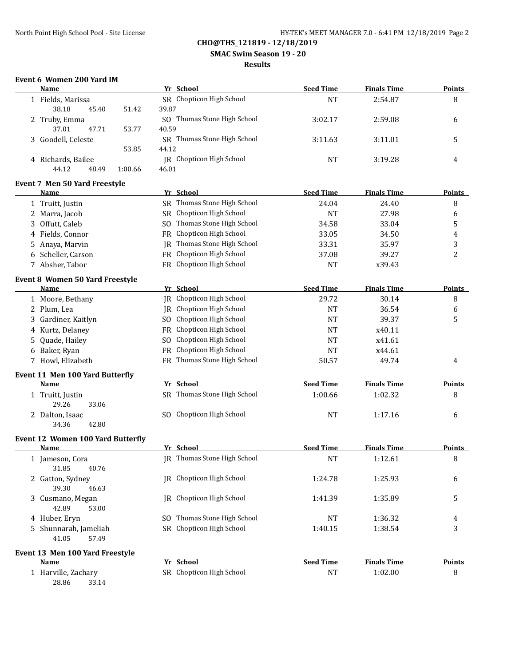## **SMAC Swim Season 19 - 20**

## **Results**

# **Event 6 Women 200 Yard IM**

|    | <b>Name</b>                                    |           | Yr School                       | <b>Seed Time</b> | <b>Finals Time</b> | <b>Points</b>  |
|----|------------------------------------------------|-----------|---------------------------------|------------------|--------------------|----------------|
|    | 1 Fields, Marissa                              |           | SR Chopticon High School        | <b>NT</b>        | 2:54.87            | 8              |
|    | 38.18<br>45.40<br>51.42                        | 39.87     |                                 |                  |                    |                |
|    | 2 Truby, Emma                                  |           | SO Thomas Stone High School     | 3:02.17          | 2:59.08            | 6              |
|    | 37.01<br>47.71<br>53.77                        | 40.59     |                                 |                  |                    |                |
|    | 3 Goodell, Celeste                             |           | SR Thomas Stone High School     | 3:11.63          | 3:11.01            | 5              |
|    | 53.85                                          | 44.12     |                                 |                  |                    |                |
|    | 4 Richards, Bailee                             |           | JR Chopticon High School        | <b>NT</b>        | 3:19.28            | 4              |
|    | 44.12<br>48.49<br>1:00.66                      | 46.01     |                                 |                  |                    |                |
|    | Event 7 Men 50 Yard Freestyle                  |           |                                 |                  |                    |                |
|    | Name                                           |           | Yr School                       | <b>Seed Time</b> | <b>Finals Time</b> | <b>Points</b>  |
|    | 1 Truitt, Justin                               |           | SR Thomas Stone High School     | 24.04            | 24.40              | 8              |
|    | 2 Marra, Jacob                                 | SR -      | Chopticon High School           | <b>NT</b>        | 27.98              | 6              |
|    | 3 Offutt, Caleb                                | SO.       | Thomas Stone High School        | 34.58            | 33.04              | 5              |
|    | 4 Fields, Connor                               | FR        | Chopticon High School           | 33.05            | 34.50              | 4              |
|    | 5 Anaya, Marvin                                | IR        | Thomas Stone High School        | 33.31            | 35.97              | 3              |
|    | 6 Scheller, Carson                             | <b>FR</b> | Chopticon High School           | 37.08            | 39.27              | $\overline{c}$ |
|    | 7 Absher, Tabor                                |           | FR Chopticon High School        | <b>NT</b>        | x39.43             |                |
|    |                                                |           |                                 |                  |                    |                |
|    | <b>Event 8 Women 50 Yard Freestyle</b><br>Name |           | Yr School                       | <b>Seed Time</b> | <b>Finals Time</b> | <b>Points</b>  |
|    | 1 Moore, Bethany                               |           | JR Chopticon High School        | 29.72            | 30.14              | 8              |
|    | 2 Plum, Lea                                    |           | JR Chopticon High School        |                  |                    |                |
|    |                                                |           | Chopticon High School           | <b>NT</b>        | 36.54              | 6              |
|    | 3 Gardiner, Kaitlyn                            | SO.       |                                 | <b>NT</b>        | 39.37              | 5              |
|    | 4 Kurtz, Delaney                               | <b>FR</b> | Chopticon High School           | <b>NT</b>        | x40.11             |                |
| 5. | Quade, Hailey                                  | SO.       | Chopticon High School           | NT               | x41.61             |                |
|    | 6 Baker, Ryan                                  | <b>FR</b> | Chopticon High School           | <b>NT</b>        | x44.61             |                |
|    | 7 Howl, Elizabeth                              |           | FR Thomas Stone High School     | 50.57            | 49.74              | 4              |
|    | Event 11 Men 100 Yard Butterfly                |           |                                 |                  |                    |                |
|    | Name                                           |           | Yr School                       | <b>Seed Time</b> | <b>Finals Time</b> | <b>Points</b>  |
|    | 1 Truitt, Justin                               |           | SR Thomas Stone High School     | 1:00.66          | 1:02.32            | 8              |
|    | 29.26<br>33.06                                 |           |                                 |                  |                    |                |
|    | 2 Dalton, Isaac                                |           | SO Chopticon High School        | <b>NT</b>        | 1:17.16            | 6              |
|    | 34.36<br>42.80                                 |           |                                 |                  |                    |                |
|    | Event 12 Women 100 Yard Butterfly              |           |                                 |                  |                    |                |
|    | <b>Name</b>                                    |           | Yr School                       | <b>Seed Time</b> | <b>Finals Time</b> | <b>Points</b>  |
|    | 1 Jameson, Cora<br>31.85<br>40.76              |           | JR Thomas Stone High School     | <b>NT</b>        | 1:12.61            | 8              |
|    | 2 Gatton, Sydney                               |           | JR Chopticon High School        | 1:24.78          | 1:25.93            | 6              |
|    | 39.30<br>46.63                                 |           |                                 |                  |                    |                |
|    | 3 Cusmano, Megan                               |           | <b>IR</b> Chopticon High School | 1:41.39          | 1:35.89            | 5              |
|    | 42.89<br>53.00                                 |           |                                 |                  |                    |                |
|    | 4 Huber, Eryn                                  |           | SO Thomas Stone High School     | NT               | 1:36.32            | 4              |
|    | 5 Shunnarah, Jameliah                          |           | SR Chopticon High School        | 1:40.15          | 1:38.54            | 3              |
|    | 41.05<br>57.49                                 |           |                                 |                  |                    |                |
|    | Event 13 Men 100 Yard Freestyle                |           |                                 |                  |                    |                |
|    | <b>Name</b>                                    |           | Yr School                       | <b>Seed Time</b> | <b>Finals Time</b> | <b>Points</b>  |
|    | 1 Harville, Zachary<br>28.86<br>33.14          |           | SR Chopticon High School        | <b>NT</b>        | 1:02.00            | 8              |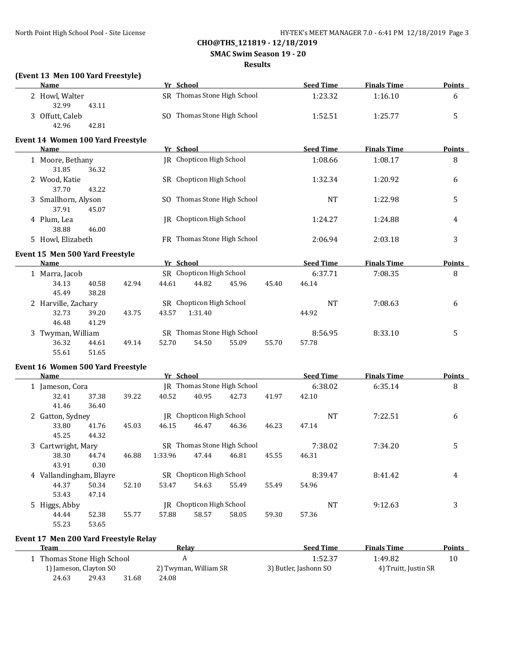#### **SMAC Swim Season 19 - 20**

#### **Results**

# **(Event 13 Men 100 Yard Freestyle)**

| $\mu$ . The result of the state $\mu$<br><b>Name</b> |       |       |       | Yr School                   |       | <b>Seed Time</b> | <b>Finals Time</b> | Points        |
|------------------------------------------------------|-------|-------|-------|-----------------------------|-------|------------------|--------------------|---------------|
| 2 Howl, Walter                                       |       |       |       | SR Thomas Stone High School |       | 1:23.32          | 1:16.10            | 6             |
| 32.99                                                | 43.11 |       |       |                             |       |                  |                    |               |
| 3 Offutt, Caleb                                      |       |       |       | SO Thomas Stone High School |       | 1:52.51          | 1:25.77            | 5             |
| 42.96                                                | 42.81 |       |       |                             |       |                  |                    |               |
| Event 14 Women 100 Yard Freestyle                    |       |       |       |                             |       |                  |                    |               |
| Name                                                 |       |       |       | Yr School                   |       | <b>Seed Time</b> | <b>Finals Time</b> | <b>Points</b> |
| 1 Moore, Bethany                                     |       |       |       | JR Chopticon High School    |       | 1:08.66          | 1:08.17            | 8             |
| 31.85                                                | 36.32 |       |       |                             |       |                  |                    |               |
| 2 Wood, Katie                                        |       |       |       | SR Chopticon High School    |       | 1:32.34          | 1:20.92            | 6             |
| 37.70                                                | 43.22 |       |       |                             |       |                  |                    |               |
| 3 Smallhorn, Alyson                                  |       |       |       | SO Thomas Stone High School |       | <b>NT</b>        | 1:22.98            | 5             |
| 37.91                                                | 45.07 |       |       |                             |       |                  |                    |               |
| 4 Plum, Lea                                          |       |       |       | IR Chopticon High School    |       | 1:24.27          | 1:24.88            | 4             |
| 38.88                                                | 46.00 |       |       |                             |       |                  |                    |               |
| 5 Howl, Elizabeth                                    |       |       |       | FR Thomas Stone High School |       | 2:06.94          | 2:03.18            | 3             |
| Event 15 Men 500 Yard Freestyle                      |       |       |       |                             |       |                  |                    |               |
| Name                                                 |       |       |       | Yr School                   |       | <b>Seed Time</b> | <b>Finals Time</b> | <b>Points</b> |
| 1 Marra, Jacob                                       |       |       |       | SR Chopticon High School    |       | 6:37.71          | 7:08.35            | 8             |
| 34.13                                                | 40.58 | 42.94 | 44.61 | 44.82<br>45.96              | 45.40 | 46.14            |                    |               |
| 45.49                                                | 38.28 |       |       |                             |       |                  |                    |               |
| 2 Harville, Zachary                                  |       |       |       | SR Chopticon High School    |       | <b>NT</b>        | 7:08.63            | 6             |
| 32.73                                                | 39.20 | 43.75 | 43.57 | 1:31.40                     |       | 44.92            |                    |               |
| 46.48                                                | 41.29 |       |       |                             |       |                  |                    |               |

# 55.61 51.65 **Event 16 Women 500 Yard Freestyle**

| <b>Name</b>             |       |       | Yr School |                          |                             |       | <b>Seed Time</b> | <b>Finals Time</b> | <b>Points</b> |
|-------------------------|-------|-------|-----------|--------------------------|-----------------------------|-------|------------------|--------------------|---------------|
| 1 Jameson, Cora         |       |       |           |                          | JR Thomas Stone High School |       | 6:38.02          | 6:35.14            | 8             |
| 32.41                   | 37.38 | 39.22 | 40.52     | 40.95                    | 42.73                       | 41.97 | 42.10            |                    |               |
| 41.46                   | 36.40 |       |           |                          |                             |       |                  |                    |               |
| 2 Gatton, Sydney        |       |       |           | IR Chopticon High School |                             |       | NT               | 7:22.51            | 6             |
| 33.80                   | 41.76 | 45.03 | 46.15     | 46.47                    | 46.36                       | 46.23 | 47.14            |                    |               |
| 45.25                   | 44.32 |       |           |                          |                             |       |                  |                    |               |
| 3 Cartwright, Mary      |       |       |           |                          | SR Thomas Stone High School |       | 7:38.02          | 7:34.20            | 5             |
| 38.30                   | 44.74 | 46.88 | 1:33.96   | 47.44                    | 46.81                       | 45.55 | 46.31            |                    |               |
| 43.91                   | 0.30  |       |           |                          |                             |       |                  |                    |               |
| 4 Vallandingham, Blayre |       |       |           | SR Chopticon High School |                             |       | 8:39.47          | 8:41.42            | 4             |
| 44.37                   | 50.34 | 52.10 | 53.47     | 54.63                    | 55.49                       | 55.49 | 54.96            |                    |               |
| 53.43                   | 47.14 |       |           |                          |                             |       |                  |                    |               |
| 5 Higgs, Abby           |       |       | IR        | Chopticon High School    |                             |       | NT               | 9:12.63            | 3             |
| 44.44                   | 52.38 | 55.77 | 57.88     | 58.57                    | 58.05                       | 59.30 | 57.36            |                    |               |
| 55.23                   | 53.65 |       |           |                          |                             |       |                  |                    |               |

3 Twyman, William SR Thomas Stone High School 8:56.95 8:33.10 5

36.32 44.61 49.14 52.70 54.50 55.09 55.70 57.78

#### **Event 17 Men 200 Yard Freestyle Relay**

| Team                     |       |                       | Relay                 | <b>Seed Time</b>     | <b>Finals Time</b> | <b>Points</b> |
|--------------------------|-------|-----------------------|-----------------------|----------------------|--------------------|---------------|
| Thomas Stone High School |       |                       |                       | 1:52.37              | 1:49.82            | 10            |
| 1) Jameson, Clayton SO   |       | 2) Twyman, William SR | 3) Butler, Jashonn SO | 4) Truitt, Justin SR |                    |               |
| 24.63                    | 29.43 | 31.68                 | 24.08                 |                      |                    |               |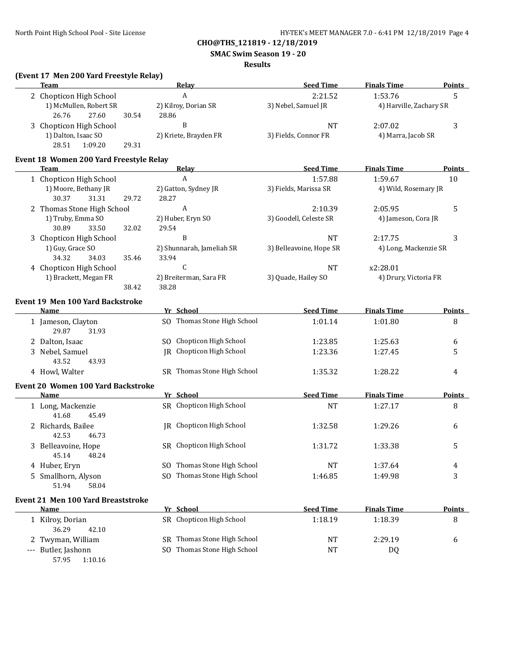**SMAC Swim Season 19 - 20**

### **Results**

# **(Event 17 Men 200 Yard Freestyle Relay)**

| Team                                              |       |       | <u>Relav</u>                    | <b>Seed Time</b>        | <b>Finals Time</b>      | <b>Points</b> |
|---------------------------------------------------|-------|-------|---------------------------------|-------------------------|-------------------------|---------------|
| 2 Chopticon High School                           |       |       | A                               | 2:21.52                 | 1:53.76                 | 5             |
| 1) McMullen, Robert SR                            |       |       | 2) Kilroy, Dorian SR            | 3) Nebel, Samuel JR     | 4) Harville, Zachary SR |               |
| 27.60<br>26.76                                    | 30.54 | 28.86 |                                 |                         |                         |               |
| 3 Chopticon High School                           |       |       | B                               | <b>NT</b>               | 2:07.02                 | 3             |
| 1) Dalton, Isaac SO                               |       |       | 2) Kriete, Brayden FR           | 3) Fields, Connor FR    | 4) Marra, Jacob SR      |               |
| 28.51<br>1:09.20                                  | 29.31 |       |                                 |                         |                         |               |
| Event 18 Women 200 Yard Freestyle Relay           |       |       |                                 |                         |                         |               |
| Team                                              |       |       | Relay                           | <b>Seed Time</b>        | <b>Finals Time</b>      | Points        |
| 1 Chopticon High School                           |       |       | $\boldsymbol{A}$                | 1:57.88                 | 1:59.67                 | 10            |
| 1) Moore, Bethany JR                              |       |       | 2) Gatton, Sydney JR            | 3) Fields, Marissa SR   | 4) Wild, Rosemary JR    |               |
| 30.37<br>31.31                                    | 29.72 | 28.27 |                                 |                         |                         |               |
| 2 Thomas Stone High School                        |       |       | A                               | 2:10.39                 | 2:05.95                 | 5             |
| 1) Truby, Emma SO                                 |       |       | 2) Huber, Eryn SO               | 3) Goodell, Celeste SR  | 4) Jameson, Cora JR     |               |
| 30.89<br>33.50                                    | 32.02 | 29.54 |                                 |                         |                         |               |
| 3 Chopticon High School                           |       |       | B                               | <b>NT</b>               | 2:17.75                 | 3             |
| 1) Guy, Grace SO                                  |       |       | 2) Shunnarah, Jameliah SR       | 3) Belleavoine, Hope SR | 4) Long, Mackenzie SR   |               |
| 34.32<br>34.03                                    | 35.46 | 33.94 |                                 |                         |                         |               |
| 4 Chopticon High School                           |       |       | C                               | <b>NT</b>               | x2:28.01                |               |
| 1) Brackett, Megan FR                             |       |       | 2) Breiterman, Sara FR          | 3) Quade, Hailey SO     | 4) Drury, Victoria FR   |               |
|                                                   | 38.42 | 38.28 |                                 |                         |                         |               |
| <b>Event 19 Men 100 Yard Backstroke</b>           |       |       |                                 |                         |                         |               |
| Name                                              |       |       | Yr School                       | <b>Seed Time</b>        | <b>Finals Time</b>      | <b>Points</b> |
| 1 Jameson, Clayton                                |       |       | SO Thomas Stone High School     | 1:01.14                 | 1:01.80                 | 8             |
| 29.87<br>31.93                                    |       |       |                                 |                         |                         |               |
| 2 Dalton, Isaac                                   |       |       | SO Chopticon High School        | 1:23.85                 | 1:25.63                 | 6             |
| 3 Nebel, Samuel                                   |       |       | <b>IR</b> Chopticon High School | 1:23.36                 | 1:27.45                 | 5             |
| 43.52<br>43.93                                    |       |       |                                 |                         |                         |               |
| 4 Howl, Walter                                    |       |       | SR Thomas Stone High School     | 1:35.32                 | 1:28.22                 | 4             |
|                                                   |       |       |                                 |                         |                         |               |
| <b>Event 20 Women 100 Yard Backstroke</b><br>Name |       |       | Yr School                       | <b>Seed Time</b>        | <b>Finals Time</b>      | <b>Points</b> |
| 1 Long, Mackenzie                                 |       |       | SR Chopticon High School        | <b>NT</b>               | 1:27.17                 | 8             |
| 41.68<br>45.49                                    |       |       |                                 |                         |                         |               |
| 2 Richards, Bailee                                |       |       | JR Chopticon High School        | 1:32.58                 | 1:29.26                 | 6             |
| 42.53<br>46.73                                    |       |       |                                 |                         |                         |               |
| 3 Belleavoine, Hope                               |       |       | SR Chopticon High School        | 1:31.72                 | 1:33.38                 | 5             |
| 45.14 48.24                                       |       |       |                                 |                         |                         |               |
| 4 Huber, Eryn                                     |       |       | SO Thomas Stone High School     | <b>NT</b>               | 1:37.64                 | 4             |
| 5 Smallhorn, Alyson                               |       |       | SO Thomas Stone High School     | 1:46.85                 | 1:49.98                 | 3             |
| 51.94<br>58.04                                    |       |       |                                 |                         |                         |               |
|                                                   |       |       |                                 |                         |                         |               |
| <b>Event 21 Men 100 Yard Breaststroke</b>         |       |       |                                 |                         |                         |               |
| Name                                              |       |       | Yr School                       | <b>Seed Time</b>        | <b>Finals Time</b>      | <b>Points</b> |
| 1 Kilroy, Dorian                                  |       |       | SR Chopticon High School        | 1:18.19                 | 1:18.39                 | 8             |
| 36.29<br>42.10                                    |       |       |                                 |                         |                         |               |
| 2 Twyman, William                                 |       |       | SR Thomas Stone High School     | <b>NT</b>               | 2:29.19                 | 6             |
| --- Butler, Jashonn                               |       |       | SO Thomas Stone High School     | <b>NT</b>               | DQ                      |               |

57.95 1:10.16